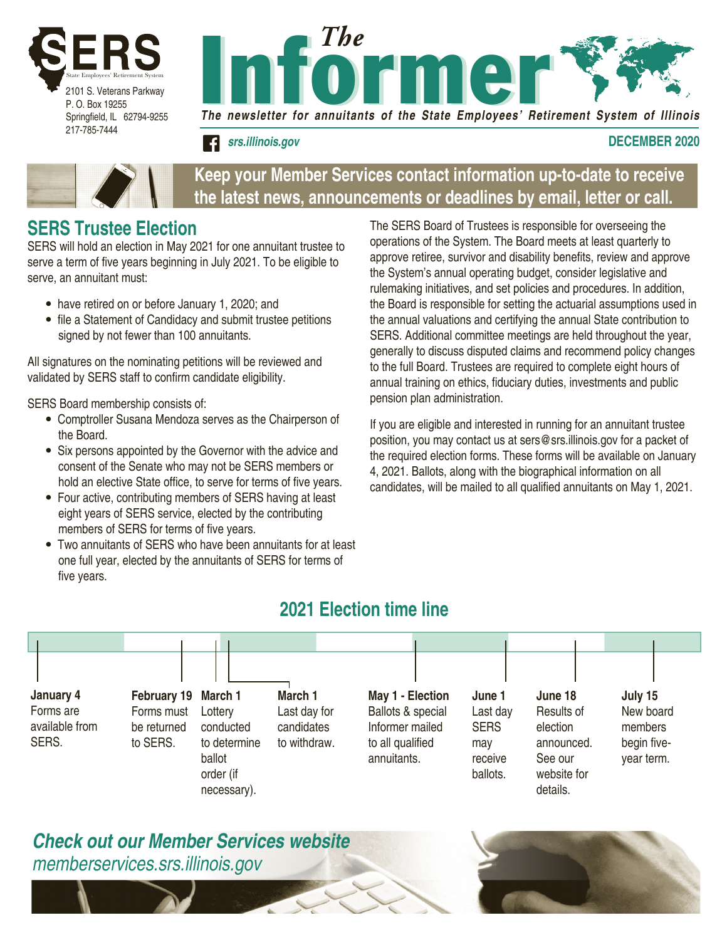



#### **december 2020 december 2020 DECEMBER 2020**



#### **Keep your Member Services contact information up-to-date to receive the latest news, announcements or deadlines by email, letter or call.**

### **SERS Trustee Election**

SERS will hold an election in May 2021 for one annuitant trustee to serve a term of five years beginning in July 2021. To be eligible to serve, an annuitant must:

- have retired on or before January 1, 2020; and
- file a Statement of Candidacy and submit trustee petitions signed by not fewer than 100 annuitants.

All signatures on the nominating petitions will be reviewed and validated by SERS staff to confirm candidate eligibility.

SERS Board membership consists of:

- Comptroller Susana Mendoza serves as the Chairperson of the Board.
- Six persons appointed by the Governor with the advice and consent of the Senate who may not be SERS members or hold an elective State office, to serve for terms of five years.
- Four active, contributing members of SERS having at least eight years of SERS service, elected by the contributing members of SERS for terms of five years.
- Two annuitants of SERS who have been annuitants for at least one full year, elected by the annuitants of SERS for terms of five years.

The SERS Board of Trustees is responsible for overseeing the operations of the System. The Board meets at least quarterly to approve retiree, survivor and disability benefits, review and approve the System's annual operating budget, consider legislative and rulemaking initiatives, and set policies and procedures. In addition, the Board is responsible for setting the actuarial assumptions used in the annual valuations and certifying the annual State contribution to SERS. Additional committee meetings are held throughout the year, generally to discuss disputed claims and recommend policy changes to the full Board. Trustees are required to complete eight hours of annual training on ethics, fiduciary duties, investments and public pension plan administration.

If you are eligible and interested in running for an annuitant trustee position, you may contact us at sers@srs.illinois.gov for a packet of the required election forms. These forms will be available on January 4, 2021. Ballots, along with the biographical information on all candidates, will be mailed to all qualified annuitants on May 1, 2021.

### **2021 Election time line**



### *Check out our Member Services website memberservices.srs.illinois.gov*